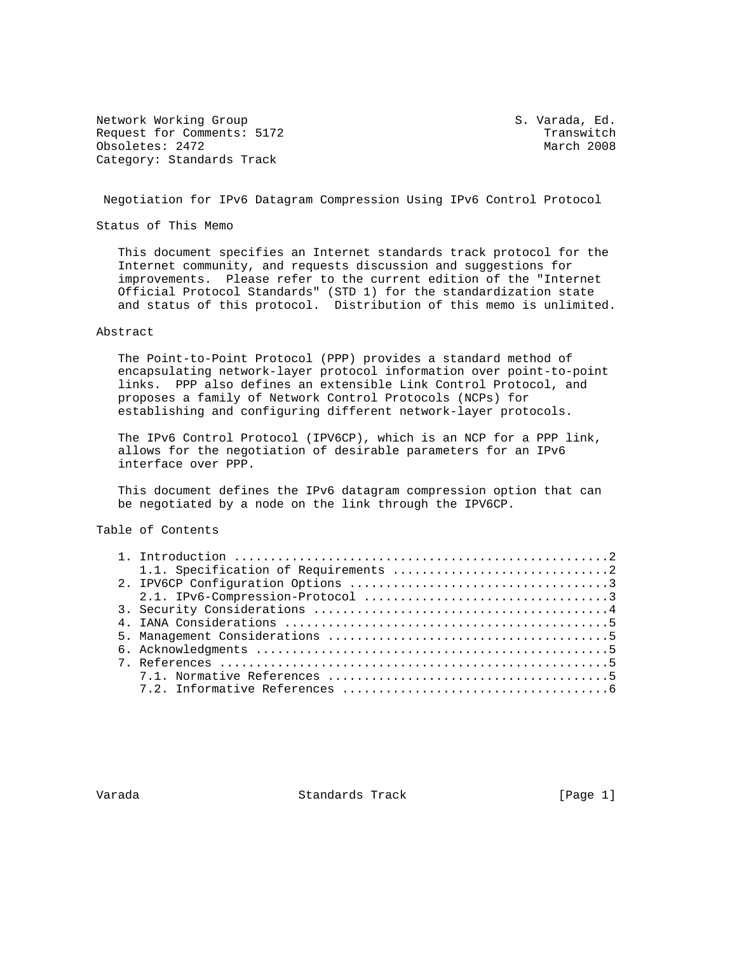Network Working Group S. Varada, Ed. Request for Comments: 5172<br>
Obsoletes: 2472<br>
March 2008 Obsoletes: 2472 Category: Standards Track

Negotiation for IPv6 Datagram Compression Using IPv6 Control Protocol

Status of This Memo

 This document specifies an Internet standards track protocol for the Internet community, and requests discussion and suggestions for improvements. Please refer to the current edition of the "Internet Official Protocol Standards" (STD 1) for the standardization state and status of this protocol. Distribution of this memo is unlimited.

## Abstract

 The Point-to-Point Protocol (PPP) provides a standard method of encapsulating network-layer protocol information over point-to-point links. PPP also defines an extensible Link Control Protocol, and proposes a family of Network Control Protocols (NCPs) for establishing and configuring different network-layer protocols.

 The IPv6 Control Protocol (IPV6CP), which is an NCP for a PPP link, allows for the negotiation of desirable parameters for an IPv6 interface over PPP.

 This document defines the IPv6 datagram compression option that can be negotiated by a node on the link through the IPV6CP.

# Table of Contents

Varada Standards Track [Page 1]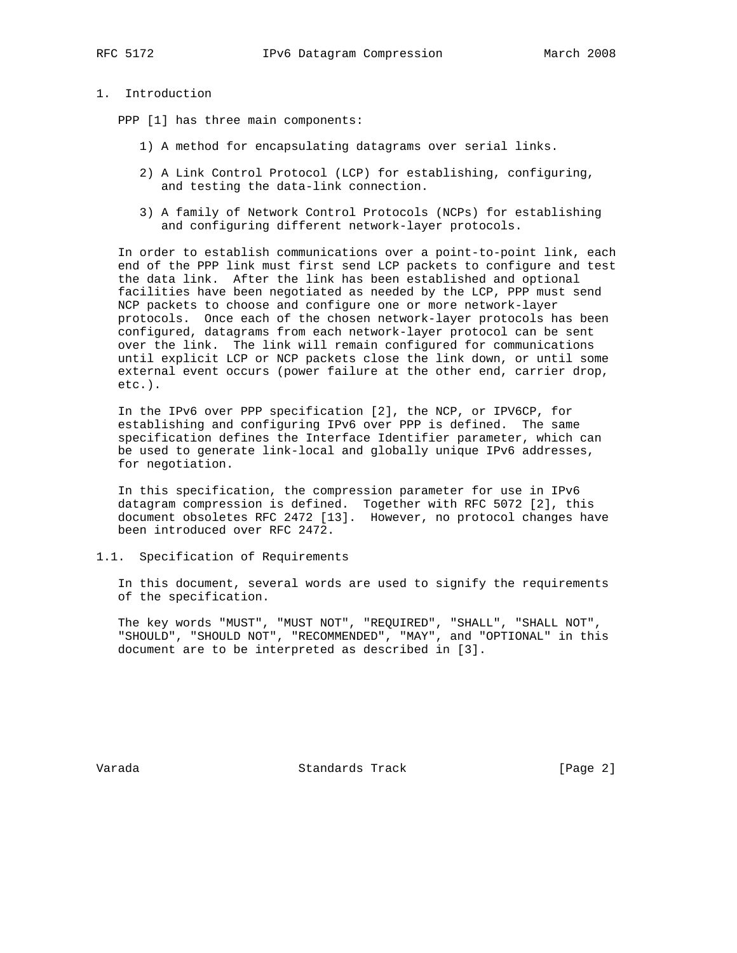# 1. Introduction

PPP [1] has three main components:

- 1) A method for encapsulating datagrams over serial links.
- 2) A Link Control Protocol (LCP) for establishing, configuring, and testing the data-link connection.
- 3) A family of Network Control Protocols (NCPs) for establishing and configuring different network-layer protocols.

 In order to establish communications over a point-to-point link, each end of the PPP link must first send LCP packets to configure and test the data link. After the link has been established and optional facilities have been negotiated as needed by the LCP, PPP must send NCP packets to choose and configure one or more network-layer protocols. Once each of the chosen network-layer protocols has been configured, datagrams from each network-layer protocol can be sent over the link. The link will remain configured for communications until explicit LCP or NCP packets close the link down, or until some external event occurs (power failure at the other end, carrier drop, etc.).

 In the IPv6 over PPP specification [2], the NCP, or IPV6CP, for establishing and configuring IPv6 over PPP is defined. The same specification defines the Interface Identifier parameter, which can be used to generate link-local and globally unique IPv6 addresses, for negotiation.

 In this specification, the compression parameter for use in IPv6 datagram compression is defined. Together with RFC 5072 [2], this document obsoletes RFC 2472 [13]. However, no protocol changes have been introduced over RFC 2472.

1.1. Specification of Requirements

 In this document, several words are used to signify the requirements of the specification.

 The key words "MUST", "MUST NOT", "REQUIRED", "SHALL", "SHALL NOT", "SHOULD", "SHOULD NOT", "RECOMMENDED", "MAY", and "OPTIONAL" in this document are to be interpreted as described in [3].

Varada Standards Track [Page 2]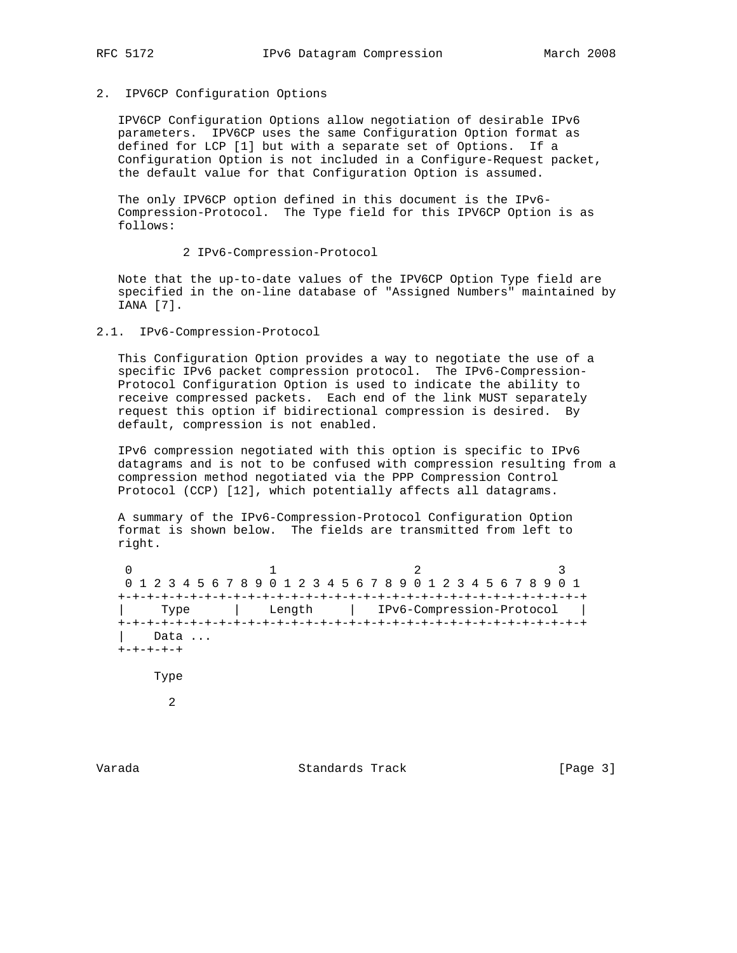# 2. IPV6CP Configuration Options

 IPV6CP Configuration Options allow negotiation of desirable IPv6 parameters. IPV6CP uses the same Configuration Option format as defined for LCP [1] but with a separate set of Options. If a Configuration Option is not included in a Configure-Request packet, the default value for that Configuration Option is assumed.

 The only IPV6CP option defined in this document is the IPv6- Compression-Protocol. The Type field for this IPV6CP Option is as follows:

### 2 IPv6-Compression-Protocol

 Note that the up-to-date values of the IPV6CP Option Type field are specified in the on-line database of "Assigned Numbers" maintained by IANA [7].

# 2.1. IPv6-Compression-Protocol

 This Configuration Option provides a way to negotiate the use of a specific IPv6 packet compression protocol. The IPv6-Compression- Protocol Configuration Option is used to indicate the ability to receive compressed packets. Each end of the link MUST separately request this option if bidirectional compression is desired. By default, compression is not enabled.

 IPv6 compression negotiated with this option is specific to IPv6 datagrams and is not to be confused with compression resulting from a compression method negotiated via the PPP Compression Control Protocol (CCP) [12], which potentially affects all datagrams.

 A summary of the IPv6-Compression-Protocol Configuration Option format is shown below. The fields are transmitted from left to right.

0  $1$  2 3 0 1 2 3 4 5 6 7 8 9 0 1 2 3 4 5 6 7 8 9 0 1 2 3 4 5 6 7 8 9 0 1 +-+-+-+-+-+-+-+-+-+-+-+-+-+-+-+-+-+-+-+-+-+-+-+-+-+-+-+-+-+-+-+-+ | Type | Length | IPv6-Compression-Protocol | +-+-+-+-+-+-+-+-+-+-+-+-+-+-+-+-+-+-+-+-+-+-+-+-+-+-+-+-+-+-+-+-+ Data ... +-+-+-+-+ Type 2

Varada Standards Track [Page 3]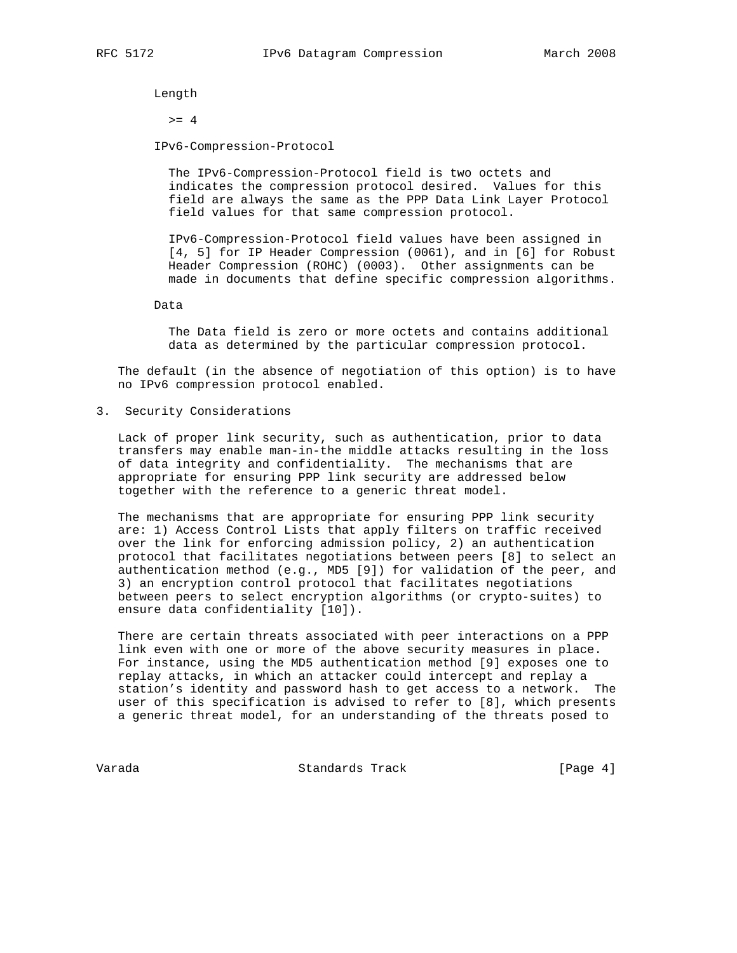Length

 $>= 4$ 

IPv6-Compression-Protocol

 The IPv6-Compression-Protocol field is two octets and indicates the compression protocol desired. Values for this field are always the same as the PPP Data Link Layer Protocol field values for that same compression protocol.

 IPv6-Compression-Protocol field values have been assigned in [4, 5] for IP Header Compression (0061), and in [6] for Robust Header Compression (ROHC) (0003). Other assignments can be made in documents that define specific compression algorithms.

Data

 The Data field is zero or more octets and contains additional data as determined by the particular compression protocol.

 The default (in the absence of negotiation of this option) is to have no IPv6 compression protocol enabled.

3. Security Considerations

 Lack of proper link security, such as authentication, prior to data transfers may enable man-in-the middle attacks resulting in the loss of data integrity and confidentiality. The mechanisms that are appropriate for ensuring PPP link security are addressed below together with the reference to a generic threat model.

 The mechanisms that are appropriate for ensuring PPP link security are: 1) Access Control Lists that apply filters on traffic received over the link for enforcing admission policy, 2) an authentication protocol that facilitates negotiations between peers [8] to select an authentication method (e.g., MD5 [9]) for validation of the peer, and 3) an encryption control protocol that facilitates negotiations between peers to select encryption algorithms (or crypto-suites) to ensure data confidentiality [10]).

 There are certain threats associated with peer interactions on a PPP link even with one or more of the above security measures in place. For instance, using the MD5 authentication method [9] exposes one to replay attacks, in which an attacker could intercept and replay a station's identity and password hash to get access to a network. The user of this specification is advised to refer to [8], which presents a generic threat model, for an understanding of the threats posed to

Varada Standards Track [Page 4]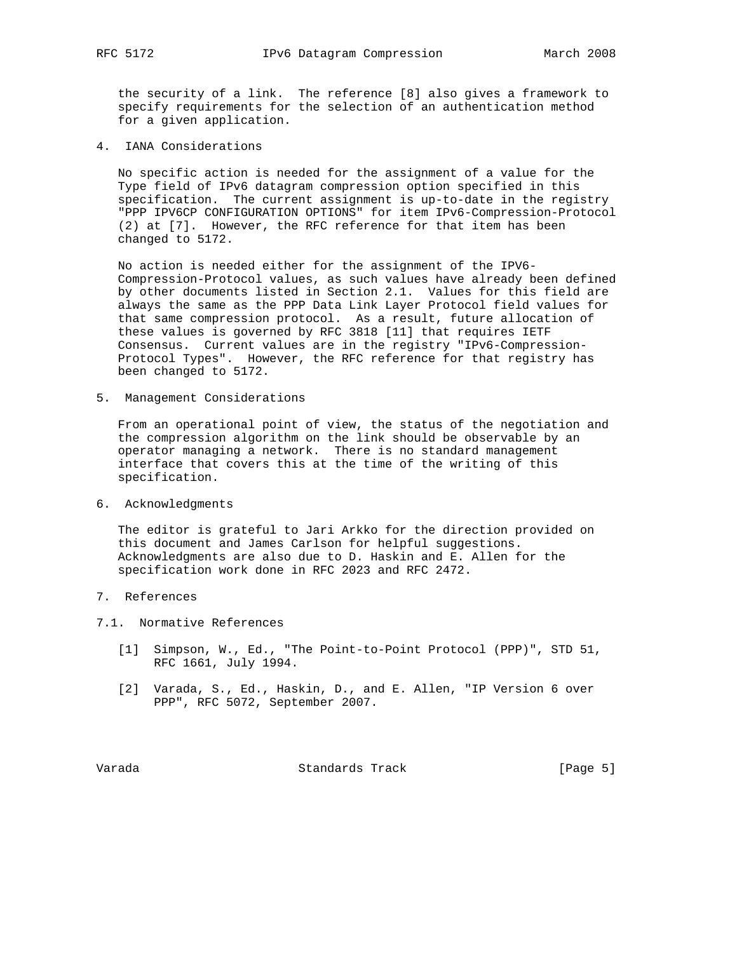the security of a link. The reference [8] also gives a framework to specify requirements for the selection of an authentication method for a given application.

4. IANA Considerations

 No specific action is needed for the assignment of a value for the Type field of IPv6 datagram compression option specified in this specification. The current assignment is up-to-date in the registry "PPP IPV6CP CONFIGURATION OPTIONS" for item IPv6-Compression-Protocol (2) at [7]. However, the RFC reference for that item has been changed to 5172.

 No action is needed either for the assignment of the IPV6- Compression-Protocol values, as such values have already been defined by other documents listed in Section 2.1. Values for this field are always the same as the PPP Data Link Layer Protocol field values for that same compression protocol. As a result, future allocation of these values is governed by RFC 3818 [11] that requires IETF Consensus. Current values are in the registry "IPv6-Compression- Protocol Types". However, the RFC reference for that registry has been changed to 5172.

5. Management Considerations

 From an operational point of view, the status of the negotiation and the compression algorithm on the link should be observable by an operator managing a network. There is no standard management interface that covers this at the time of the writing of this specification.

6. Acknowledgments

 The editor is grateful to Jari Arkko for the direction provided on this document and James Carlson for helpful suggestions. Acknowledgments are also due to D. Haskin and E. Allen for the specification work done in RFC 2023 and RFC 2472.

- 7. References
- 7.1. Normative References
	- [1] Simpson, W., Ed., "The Point-to-Point Protocol (PPP)", STD 51, RFC 1661, July 1994.
	- [2] Varada, S., Ed., Haskin, D., and E. Allen, "IP Version 6 over PPP", RFC 5072, September 2007.

Varada Standards Track [Page 5]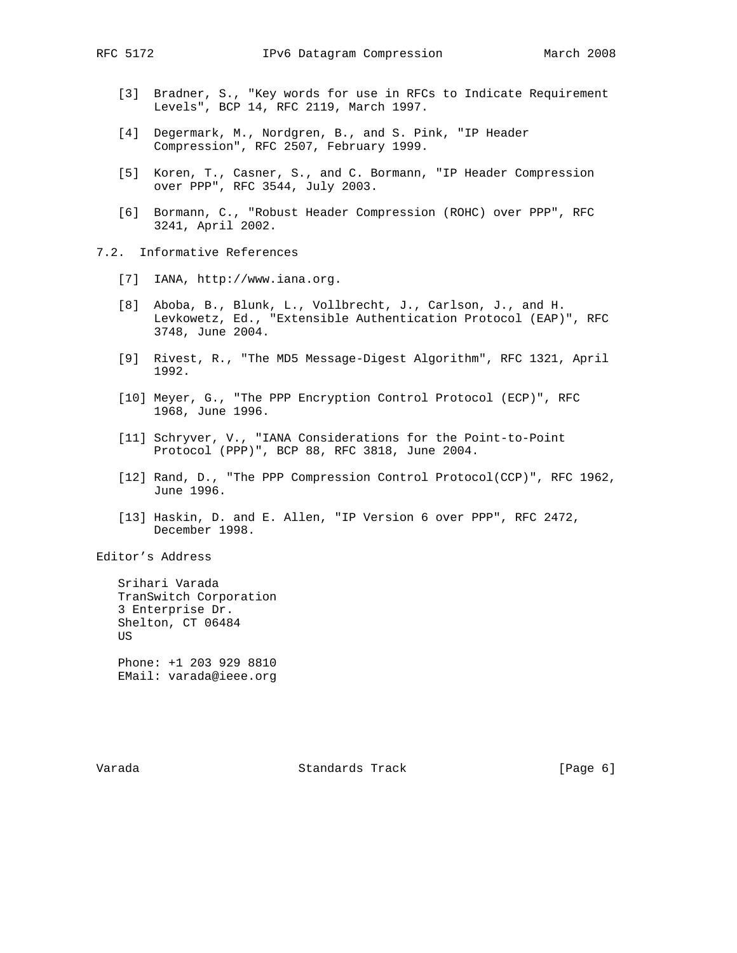- [3] Bradner, S., "Key words for use in RFCs to Indicate Requirement Levels", BCP 14, RFC 2119, March 1997.
- [4] Degermark, M., Nordgren, B., and S. Pink, "IP Header Compression", RFC 2507, February 1999.
- [5] Koren, T., Casner, S., and C. Bormann, "IP Header Compression over PPP", RFC 3544, July 2003.
- [6] Bormann, C., "Robust Header Compression (ROHC) over PPP", RFC 3241, April 2002.
- 7.2. Informative References
	- [7] IANA, http://www.iana.org.
	- [8] Aboba, B., Blunk, L., Vollbrecht, J., Carlson, J., and H. Levkowetz, Ed., "Extensible Authentication Protocol (EAP)", RFC 3748, June 2004.
	- [9] Rivest, R., "The MD5 Message-Digest Algorithm", RFC 1321, April 1992.
	- [10] Meyer, G., "The PPP Encryption Control Protocol (ECP)", RFC 1968, June 1996.
	- [11] Schryver, V., "IANA Considerations for the Point-to-Point Protocol (PPP)", BCP 88, RFC 3818, June 2004.
	- [12] Rand, D., "The PPP Compression Control Protocol(CCP)", RFC 1962, June 1996.
	- [13] Haskin, D. and E. Allen, "IP Version 6 over PPP", RFC 2472, December 1998.

Editor's Address

 Srihari Varada TranSwitch Corporation 3 Enterprise Dr. Shelton, CT 06484 US Phone: +1 203 929 8810

EMail: varada@ieee.org

Varada Standards Track [Page 6]